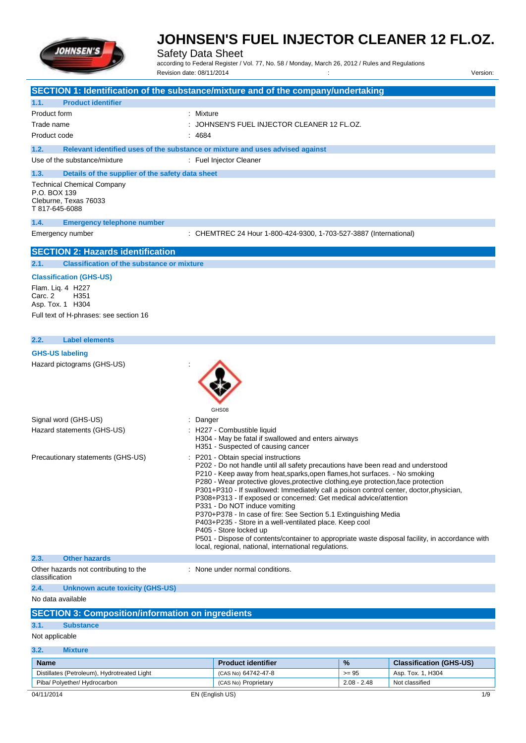

Safety Data Sheet

according to Federal Register / Vol. 77, No. 58 / Monday, March 26, 2012 / Rules and Regulations Revision date: 08/11/2014 Version: Version: Version: Version: Version: Version: Version:

| SECTION 1: Identification of the substance/mixture and of the company/undertaking                                                                        |           |                                                                                                                                                                                                                                                                                                                                                                                                                                                                                                                                                                                                                                                                                                                                                                                                                  |               |                                |
|----------------------------------------------------------------------------------------------------------------------------------------------------------|-----------|------------------------------------------------------------------------------------------------------------------------------------------------------------------------------------------------------------------------------------------------------------------------------------------------------------------------------------------------------------------------------------------------------------------------------------------------------------------------------------------------------------------------------------------------------------------------------------------------------------------------------------------------------------------------------------------------------------------------------------------------------------------------------------------------------------------|---------------|--------------------------------|
| 1.1.<br><b>Product identifier</b>                                                                                                                        |           |                                                                                                                                                                                                                                                                                                                                                                                                                                                                                                                                                                                                                                                                                                                                                                                                                  |               |                                |
| Product form                                                                                                                                             | : Mixture |                                                                                                                                                                                                                                                                                                                                                                                                                                                                                                                                                                                                                                                                                                                                                                                                                  |               |                                |
| Trade name                                                                                                                                               |           | JOHNSEN'S FUEL INJECTOR CLEANER 12 FL.OZ.                                                                                                                                                                                                                                                                                                                                                                                                                                                                                                                                                                                                                                                                                                                                                                        |               |                                |
| Product code                                                                                                                                             | 4684      |                                                                                                                                                                                                                                                                                                                                                                                                                                                                                                                                                                                                                                                                                                                                                                                                                  |               |                                |
| 1.2.<br>Relevant identified uses of the substance or mixture and uses advised against                                                                    |           |                                                                                                                                                                                                                                                                                                                                                                                                                                                                                                                                                                                                                                                                                                                                                                                                                  |               |                                |
| Use of the substance/mixture                                                                                                                             |           | : Fuel Injector Cleaner                                                                                                                                                                                                                                                                                                                                                                                                                                                                                                                                                                                                                                                                                                                                                                                          |               |                                |
| 1.3.<br>Details of the supplier of the safety data sheet<br><b>Technical Chemical Company</b><br>P.O. BOX 139<br>Cleburne, Texas 76033<br>T 817-645-6088 |           |                                                                                                                                                                                                                                                                                                                                                                                                                                                                                                                                                                                                                                                                                                                                                                                                                  |               |                                |
| 1.4.<br><b>Emergency telephone number</b>                                                                                                                |           |                                                                                                                                                                                                                                                                                                                                                                                                                                                                                                                                                                                                                                                                                                                                                                                                                  |               |                                |
| Emergency number                                                                                                                                         |           | : CHEMTREC 24 Hour 1-800-424-9300, 1-703-527-3887 (International)                                                                                                                                                                                                                                                                                                                                                                                                                                                                                                                                                                                                                                                                                                                                                |               |                                |
| <b>SECTION 2: Hazards identification</b>                                                                                                                 |           |                                                                                                                                                                                                                                                                                                                                                                                                                                                                                                                                                                                                                                                                                                                                                                                                                  |               |                                |
| <b>Classification of the substance or mixture</b><br>2.1.                                                                                                |           |                                                                                                                                                                                                                                                                                                                                                                                                                                                                                                                                                                                                                                                                                                                                                                                                                  |               |                                |
| <b>Classification (GHS-US)</b><br>Flam. Lig. 4 H227<br>Carc. 2<br>H <sub>351</sub><br>Asp. Tox. 1 H304<br>Full text of H-phrases: see section 16         |           |                                                                                                                                                                                                                                                                                                                                                                                                                                                                                                                                                                                                                                                                                                                                                                                                                  |               |                                |
| <b>Label elements</b><br>2.2.                                                                                                                            |           |                                                                                                                                                                                                                                                                                                                                                                                                                                                                                                                                                                                                                                                                                                                                                                                                                  |               |                                |
| <b>GHS-US labeling</b>                                                                                                                                   |           |                                                                                                                                                                                                                                                                                                                                                                                                                                                                                                                                                                                                                                                                                                                                                                                                                  |               |                                |
| Hazard pictograms (GHS-US)                                                                                                                               |           | GHS08                                                                                                                                                                                                                                                                                                                                                                                                                                                                                                                                                                                                                                                                                                                                                                                                            |               |                                |
| Signal word (GHS-US)                                                                                                                                     | Danger    |                                                                                                                                                                                                                                                                                                                                                                                                                                                                                                                                                                                                                                                                                                                                                                                                                  |               |                                |
| Hazard statements (GHS-US)                                                                                                                               |           | H227 - Combustible liquid<br>H304 - May be fatal if swallowed and enters airways<br>H351 - Suspected of causing cancer                                                                                                                                                                                                                                                                                                                                                                                                                                                                                                                                                                                                                                                                                           |               |                                |
| Precautionary statements (GHS-US)                                                                                                                        |           | P201 - Obtain special instructions<br>P202 - Do not handle until all safety precautions have been read and understood<br>P210 - Keep away from heat, sparks, open flames, hot surfaces. - No smoking<br>P280 - Wear protective gloves, protective clothing, eye protection, face protection<br>P301+P310 - If swallowed: Immediately call a poison control center, doctor, physician,<br>P308+P313 - If exposed or concerned: Get medical advice/attention<br>P331 - Do NOT induce vomiting<br>P370+P378 - In case of fire: See Section 5.1 Extinguishing Media<br>P403+P235 - Store in a well-ventilated place. Keep cool<br>P405 - Store locked up<br>P501 - Dispose of contents/container to appropriate waste disposal facility, in accordance with<br>local, regional, national, international regulations. |               |                                |
| 2.3.<br><b>Other hazards</b>                                                                                                                             |           |                                                                                                                                                                                                                                                                                                                                                                                                                                                                                                                                                                                                                                                                                                                                                                                                                  |               |                                |
| Other hazards not contributing to the<br>classification                                                                                                  |           | : None under normal conditions.                                                                                                                                                                                                                                                                                                                                                                                                                                                                                                                                                                                                                                                                                                                                                                                  |               |                                |
| 2.4.<br><b>Unknown acute toxicity (GHS-US)</b>                                                                                                           |           |                                                                                                                                                                                                                                                                                                                                                                                                                                                                                                                                                                                                                                                                                                                                                                                                                  |               |                                |
| No data available                                                                                                                                        |           |                                                                                                                                                                                                                                                                                                                                                                                                                                                                                                                                                                                                                                                                                                                                                                                                                  |               |                                |
| <b>SECTION 3: Composition/information on ingredients</b>                                                                                                 |           |                                                                                                                                                                                                                                                                                                                                                                                                                                                                                                                                                                                                                                                                                                                                                                                                                  |               |                                |
| 3.1.<br><b>Substance</b>                                                                                                                                 |           |                                                                                                                                                                                                                                                                                                                                                                                                                                                                                                                                                                                                                                                                                                                                                                                                                  |               |                                |
| Not applicable                                                                                                                                           |           |                                                                                                                                                                                                                                                                                                                                                                                                                                                                                                                                                                                                                                                                                                                                                                                                                  |               |                                |
| 3.2.<br><b>Mixture</b>                                                                                                                                   |           |                                                                                                                                                                                                                                                                                                                                                                                                                                                                                                                                                                                                                                                                                                                                                                                                                  |               |                                |
| <b>Name</b>                                                                                                                                              |           | <b>Product identifier</b>                                                                                                                                                                                                                                                                                                                                                                                                                                                                                                                                                                                                                                                                                                                                                                                        | %             | <b>Classification (GHS-US)</b> |
| Distillates (Petroleum), Hydrotreated Light                                                                                                              |           | (CAS No) 64742-47-8                                                                                                                                                                                                                                                                                                                                                                                                                                                                                                                                                                                                                                                                                                                                                                                              | $>= 95$       | Asp. Tox. 1, H304              |
| Piba/ Polyether/ Hydrocarbon                                                                                                                             |           | (CAS No) Proprietary                                                                                                                                                                                                                                                                                                                                                                                                                                                                                                                                                                                                                                                                                                                                                                                             | $2.08 - 2.48$ | Not classified                 |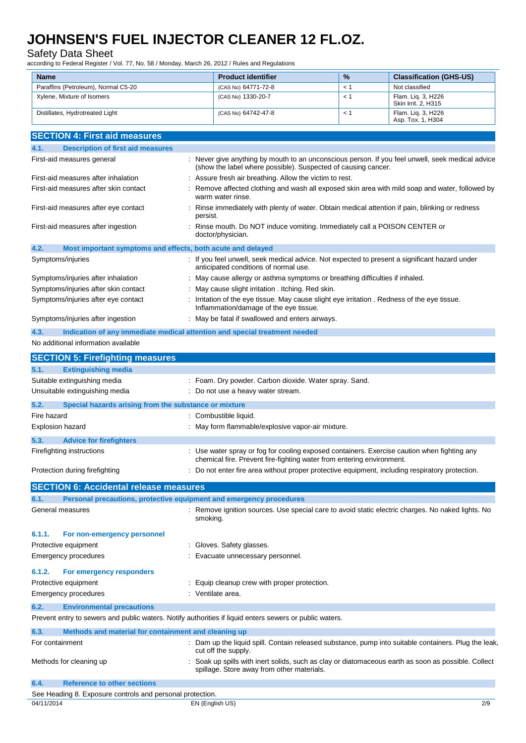### Safety Data Sheet

according to Federal Register / Vol. 77, No. 58 / Monday, March 26, 2012 / Rules and Regulations

| <b>Name</b>                                                                                             | <b>Product identifier</b>                                                                                                              | %   | <b>Classification (GHS-US)</b>                                                                       |
|---------------------------------------------------------------------------------------------------------|----------------------------------------------------------------------------------------------------------------------------------------|-----|------------------------------------------------------------------------------------------------------|
| Paraffins (Petroleum), Normal C5-20                                                                     | (CAS No) 64771-72-8                                                                                                                    | < 1 | Not classified                                                                                       |
| Xylene, Mixture of Isomers                                                                              | (CAS No) 1330-20-7                                                                                                                     | < 1 | Flam. Liq. 3, H226<br>Skin Irrit. 2, H315                                                            |
| Distillates, Hydrotreated Light                                                                         | (CAS No) 64742-47-8                                                                                                                    | < 1 | Flam. Liq. 3, H226<br>Asp. Tox. 1, H304                                                              |
| <b>SECTION 4: First aid measures</b>                                                                    |                                                                                                                                        |     |                                                                                                      |
| <b>Description of first aid measures</b><br>4.1.                                                        |                                                                                                                                        |     |                                                                                                      |
| First-aid measures general                                                                              |                                                                                                                                        |     | : Never give anything by mouth to an unconscious person. If you feel unwell, seek medical advice     |
|                                                                                                         | (show the label where possible). Suspected of causing cancer.                                                                          |     |                                                                                                      |
| First-aid measures after inhalation                                                                     | : Assure fresh air breathing. Allow the victim to rest.                                                                                |     |                                                                                                      |
| First-aid measures after skin contact                                                                   | warm water rinse.                                                                                                                      |     | Remove affected clothing and wash all exposed skin area with mild soap and water, followed by        |
| First-aid measures after eye contact                                                                    | persist.                                                                                                                               |     | Rinse immediately with plenty of water. Obtain medical attention if pain, blinking or redness        |
| First-aid measures after ingestion                                                                      | : Rinse mouth. Do NOT induce vomiting. Immediately call a POISON CENTER or<br>doctor/physician.                                        |     |                                                                                                      |
| 4.2.<br>Most important symptoms and effects, both acute and delayed                                     |                                                                                                                                        |     |                                                                                                      |
| Symptoms/injuries                                                                                       | anticipated conditions of normal use.                                                                                                  |     | : If you feel unwell, seek medical advice. Not expected to present a significant hazard under        |
| Symptoms/injuries after inhalation                                                                      | : May cause allergy or asthma symptoms or breathing difficulties if inhaled.                                                           |     |                                                                                                      |
| Symptoms/injuries after skin contact                                                                    | : May cause slight irritation . Itching. Red skin.                                                                                     |     |                                                                                                      |
| Symptoms/injuries after eye contact                                                                     | : Irritation of the eye tissue. May cause slight eye irritation . Redness of the eye tissue.<br>Inflammation/damage of the eye tissue. |     |                                                                                                      |
| Symptoms/injuries after ingestion                                                                       | : May be fatal if swallowed and enters airways.                                                                                        |     |                                                                                                      |
| 4.3.<br>Indication of any immediate medical attention and special treatment needed                      |                                                                                                                                        |     |                                                                                                      |
| No additional information available                                                                     |                                                                                                                                        |     |                                                                                                      |
| <b>SECTION 5: Firefighting measures</b>                                                                 |                                                                                                                                        |     |                                                                                                      |
| 5.1.<br><b>Extinguishing media</b>                                                                      |                                                                                                                                        |     |                                                                                                      |
| Suitable extinguishing media                                                                            | : Foam. Dry powder. Carbon dioxide. Water spray. Sand.                                                                                 |     |                                                                                                      |
| Unsuitable extinguishing media                                                                          | : Do not use a heavy water stream.                                                                                                     |     |                                                                                                      |
| 5.2.<br>Special hazards arising from the substance or mixture                                           |                                                                                                                                        |     |                                                                                                      |
| Fire hazard                                                                                             | : Combustible liquid.                                                                                                                  |     |                                                                                                      |
| <b>Explosion hazard</b>                                                                                 | : May form flammable/explosive vapor-air mixture.                                                                                      |     |                                                                                                      |
| 5.3.<br><b>Advice for firefighters</b>                                                                  |                                                                                                                                        |     |                                                                                                      |
| Firefighting instructions                                                                               | : Use water spray or fog for cooling exposed containers. Exercise caution when fighting any                                            |     |                                                                                                      |
| Protection during firefighting                                                                          | chemical fire. Prevent fire-fighting water from entering environment.                                                                  |     | : Do not enter fire area without proper protective equipment, including respiratory protection.      |
|                                                                                                         |                                                                                                                                        |     |                                                                                                      |
| <b>SECTION 6: Accidental release measures</b>                                                           |                                                                                                                                        |     |                                                                                                      |
| Personal precautions, protective equipment and emergency procedures<br>6.1.                             |                                                                                                                                        |     |                                                                                                      |
| General measures                                                                                        | smoking.                                                                                                                               |     | : Remove ignition sources. Use special care to avoid static electric charges. No naked lights. No    |
| 6.1.1.<br>For non-emergency personnel                                                                   |                                                                                                                                        |     |                                                                                                      |
| Protective equipment                                                                                    | : Gloves. Safety glasses.                                                                                                              |     |                                                                                                      |
| <b>Emergency procedures</b>                                                                             | : Evacuate unnecessary personnel.                                                                                                      |     |                                                                                                      |
| 6.1.2.<br>For emergency responders                                                                      |                                                                                                                                        |     |                                                                                                      |
| Protective equipment                                                                                    | Equip cleanup crew with proper protection.                                                                                             |     |                                                                                                      |
| <b>Emergency procedures</b>                                                                             | : Ventilate area.                                                                                                                      |     |                                                                                                      |
| 6.2.<br><b>Environmental precautions</b>                                                                |                                                                                                                                        |     |                                                                                                      |
| Prevent entry to sewers and public waters. Notify authorities if liquid enters sewers or public waters. |                                                                                                                                        |     |                                                                                                      |
| Methods and material for containment and cleaning up<br>6.3.                                            |                                                                                                                                        |     |                                                                                                      |
| For containment                                                                                         | cut off the supply.                                                                                                                    |     | : Dam up the liquid spill. Contain released substance, pump into suitable containers. Plug the leak, |
| Methods for cleaning up                                                                                 | spillage. Store away from other materials.                                                                                             |     | : Soak up spills with inert solids, such as clay or diatomaceous earth as soon as possible. Collect  |

**6.4. Reference to other sections** See Heading 8. Exposure controls and personal protection.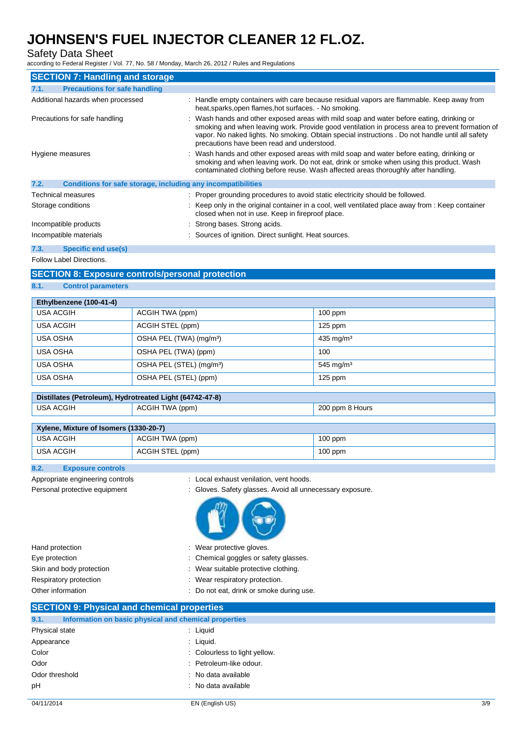## Safety Data Sheet

according to Federal Register / Vol. 77, No. 58 / Monday, March 26, 2012 / Rules and Regulations

| <b>SECTION 7: Handling and storage</b>                               |                                                                                                                                                                                                                                                                                                                                               |
|----------------------------------------------------------------------|-----------------------------------------------------------------------------------------------------------------------------------------------------------------------------------------------------------------------------------------------------------------------------------------------------------------------------------------------|
| <b>Precautions for safe handling</b><br>7.1.                         |                                                                                                                                                                                                                                                                                                                                               |
| Additional hazards when processed                                    | : Handle empty containers with care because residual vapors are flammable. Keep away from<br>heat, sparks, open flames, hot surfaces. - No smoking.                                                                                                                                                                                           |
| Precautions for safe handling                                        | : Wash hands and other exposed areas with mild soap and water before eating, drinking or<br>smoking and when leaving work. Provide good ventilation in process area to prevent formation of<br>vapor. No naked lights. No smoking. Obtain special instructions . Do not handle until all safety<br>precautions have been read and understood. |
| Hygiene measures                                                     | : Wash hands and other exposed areas with mild soap and water before eating, drinking or<br>smoking and when leaving work. Do not eat, drink or smoke when using this product. Wash<br>contaminated clothing before reuse. Wash affected areas thoroughly after handling.                                                                     |
| 7.2.<br>Conditions for safe storage, including any incompatibilities |                                                                                                                                                                                                                                                                                                                                               |
| Technical measures                                                   | : Proper grounding procedures to avoid static electricity should be followed.                                                                                                                                                                                                                                                                 |
| Storage conditions                                                   | : Keep only in the original container in a cool, well ventilated place away from : Keep container<br>closed when not in use. Keep in fireproof place.                                                                                                                                                                                         |
| Incompatible products                                                | : Strong bases. Strong acids.                                                                                                                                                                                                                                                                                                                 |
| Incompatible materials                                               | : Sources of ignition. Direct sunlight. Heat sources.                                                                                                                                                                                                                                                                                         |

**7.3. Specific end use(s)**

Follow Label Directions.

### **SECTION 8: Exposure controls/personal protection**

**8.1. Control parameters**

| Ethylbenzene (100-41-4) |                                      |                         |
|-------------------------|--------------------------------------|-------------------------|
| <b>USA ACGIH</b>        | ACGIH TWA (ppm)                      | $100$ ppm               |
| <b>USA ACGIH</b>        | ACGIH STEL (ppm)                     | $125$ ppm               |
| USA OSHA                | OSHA PEL (TWA) (mg/m <sup>3</sup> )  | $435$ mg/m <sup>3</sup> |
| <b>USA OSHA</b>         | OSHA PEL (TWA) (ppm)                 | 100                     |
| <b>USA OSHA</b>         | OSHA PEL (STEL) (mg/m <sup>3</sup> ) | $545$ mg/m <sup>3</sup> |
| <b>USA OSHA</b>         | OSHA PEL (STEL) (ppm)                | $125$ ppm               |

## **Distillates (Petroleum), Hydrotreated Light (64742-47-8)**

| <b>USA ACGIH</b> | ACGIH TWA (ppm) | 200 ppm 8 Hours |
|------------------|-----------------|-----------------|
|                  |                 |                 |

| Xylene, Mixture of Isomers (1330-20-7) |                  |           |
|----------------------------------------|------------------|-----------|
| USA ACGIH                              | ACGIH TWA (ppm)  | $100$ ppm |
| USA ACGIH                              | ACGIH STEL (ppm) | $100$ ppm |

### **8.2. Exposure controls**

- Appropriate engineering controls : Local exhaust venilation, vent hoods.
- Personal protective equipment : Gloves. Safety glasses. Avoid all unnecessary exposure.



| Hand protection          | : Wear protective gloves.                |
|--------------------------|------------------------------------------|
| Eye protection           | : Chemical goggles or safety glasses.    |
| Skin and body protection | Wear suitable protective clothing.       |
| Respiratory protection   | : Wear respiratory protection.           |
| Other information        | : Do not eat, drink or smoke during use. |
|                          |                                          |

## **SECTION 9: Physical and chemical properties**

| Information on basic physical and chemical properties<br>9.1. |                               |  |
|---------------------------------------------------------------|-------------------------------|--|
| Physical state                                                | : Liquid                      |  |
| Appearance                                                    | $:$ Liquid.                   |  |
| Color                                                         | : Colourless to light yellow. |  |
| Odor                                                          | : Petroleum-like odour.       |  |
| Odor threshold                                                | : No data available           |  |
| pH                                                            | : No data available           |  |
|                                                               |                               |  |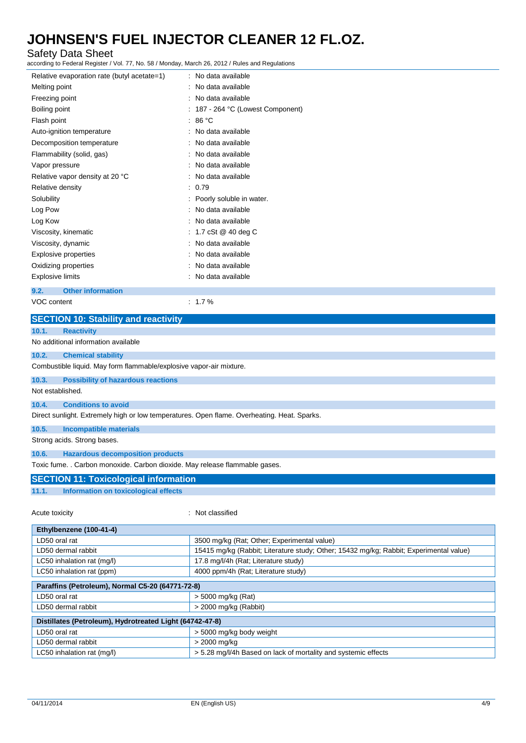## Safety Data Sheet

according to Federal Register / Vol. 77, No. 58 / Monday, March 26, 2012 / Rules and Regulations

| Relative evaporation rate (butyl acetate=1) | : No data available               |
|---------------------------------------------|-----------------------------------|
| Melting point                               | No data available                 |
| Freezing point                              | No data available                 |
| Boiling point                               | : 187 - 264 °C (Lowest Component) |
| Flash point                                 | : 86 $^{\circ}$ C                 |
| Auto-ignition temperature                   | : No data available               |
| Decomposition temperature                   | No data available                 |
| Flammability (solid, gas)                   | No data available                 |
| Vapor pressure                              | No data available                 |
| Relative vapor density at 20 °C             | No data available                 |
| Relative density                            | : 0.79                            |
| Solubility                                  | Poorly soluble in water.          |
| Log Pow                                     | No data available                 |
| Log Kow                                     | : No data available               |
| Viscosity, kinematic                        | : 1.7 cSt @ 40 deg C              |
| Viscosity, dynamic                          | No data available                 |
| Explosive properties                        | : No data available               |
| Oxidizing properties                        | No data available                 |
| <b>Explosive limits</b>                     | No data available                 |
| <b>Other information</b><br>9.2.            |                                   |
| VOC content                                 | $: 1.7\%$                         |
| <b>SECTION 10: Stability and reactivity</b> |                                   |

|                                                                             | <b>ULDITION ID. Stability and reactivity</b>                                                |  |  |  |
|-----------------------------------------------------------------------------|---------------------------------------------------------------------------------------------|--|--|--|
| 10.1.                                                                       | <b>Reactivity</b>                                                                           |  |  |  |
|                                                                             | No additional information available                                                         |  |  |  |
| 10.2.                                                                       | <b>Chemical stability</b>                                                                   |  |  |  |
|                                                                             | Combustible liquid. May form flammable/explosive vapor-air mixture.                         |  |  |  |
| 10.3.                                                                       | <b>Possibility of hazardous reactions</b>                                                   |  |  |  |
| Not established.                                                            |                                                                                             |  |  |  |
| 10.4.                                                                       | <b>Conditions to avoid</b>                                                                  |  |  |  |
|                                                                             | Direct sunlight. Extremely high or low temperatures. Open flame. Overheating. Heat. Sparks. |  |  |  |
| 10.5.                                                                       | <b>Incompatible materials</b>                                                               |  |  |  |
|                                                                             | Strong acids. Strong bases.                                                                 |  |  |  |
| 10.6.                                                                       | <b>Hazardous decomposition products</b>                                                     |  |  |  |
| Toxic fume. . Carbon monoxide. Carbon dioxide. May release flammable gases. |                                                                                             |  |  |  |
| <b>SECTION 11: Toxicological information</b>                                |                                                                                             |  |  |  |
| 11.1.                                                                       | Information on toxicological effects                                                        |  |  |  |
| Acute toxicity                                                              | Not classified                                                                              |  |  |  |
|                                                                             |                                                                                             |  |  |  |

| Ethylbenzene (100-41-4)                                  |                                                                                        |  |
|----------------------------------------------------------|----------------------------------------------------------------------------------------|--|
| LD50 oral rat                                            | 3500 mg/kg (Rat; Other; Experimental value)                                            |  |
| LD50 dermal rabbit                                       | 15415 mg/kg (Rabbit; Literature study; Other; 15432 mg/kg; Rabbit; Experimental value) |  |
| LC50 inhalation rat (mg/l)                               | 17.8 mg/l/4h (Rat; Literature study)                                                   |  |
| LC50 inhalation rat (ppm)                                | 4000 ppm/4h (Rat; Literature study)                                                    |  |
| Paraffins (Petroleum), Normal C5-20 (64771-72-8)         |                                                                                        |  |
| LD50 oral rat                                            | $>$ 5000 mg/kg (Rat)                                                                   |  |
| LD50 dermal rabbit                                       | > 2000 mg/kg (Rabbit)                                                                  |  |
| Distillates (Petroleum), Hydrotreated Light (64742-47-8) |                                                                                        |  |
| LD50 oral rat                                            | > 5000 mg/kg body weight                                                               |  |
| LD50 dermal rabbit                                       | > 2000 mg/kg                                                                           |  |
| LC50 inhalation rat (mg/l)                               | > 5.28 mg/l/4h Based on lack of mortality and systemic effects                         |  |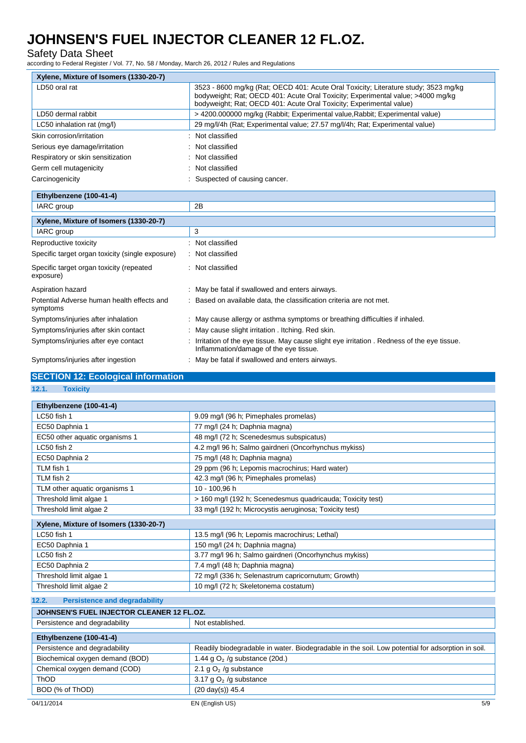### Safety Data Sheet

according to Federal Register / Vol. 77, No. 58 / Monday, March 26, 2012 / Rules and Regulations

| 3523 - 8600 mg/kg (Rat: OECD 401: Acute Oral Toxicity: Literature study: 3523 mg/kg<br>bodyweight; Rat; OECD 401: Acute Oral Toxicity; Experimental value; >4000 mg/kg<br>bodyweight; Rat; OECD 401: Acute Oral Toxicity; Experimental value) |
|-----------------------------------------------------------------------------------------------------------------------------------------------------------------------------------------------------------------------------------------------|
| > 4200.000000 mg/kg (Rabbit; Experimental value, Rabbit; Experimental value)                                                                                                                                                                  |
| 29 mg/l/4h (Rat: Experimental value: 27.57 mg/l/4h; Rat: Experimental value)                                                                                                                                                                  |
| Not classified                                                                                                                                                                                                                                |
| : Not classified                                                                                                                                                                                                                              |
| : Not classified                                                                                                                                                                                                                              |
| : Not classified                                                                                                                                                                                                                              |
| Suspected of causing cancer.                                                                                                                                                                                                                  |
|                                                                                                                                                                                                                                               |

| $100 - 41 -$<br>Ibenzene<br>. .                                                                                                                                                                                                          |          |
|------------------------------------------------------------------------------------------------------------------------------------------------------------------------------------------------------------------------------------------|----------|
| <b>IARC</b> group                                                                                                                                                                                                                        | 0D<br>40 |
| and the second control of the second second the second second the second second the second second second second second second second second second second second second second second second second second second second secon<br>.<br>. |          |

| Xylene, Mixture of Isomers (1330-20-7)                 |                                                                                                                                       |  |
|--------------------------------------------------------|---------------------------------------------------------------------------------------------------------------------------------------|--|
| IARC group                                             | 3                                                                                                                                     |  |
| Reproductive toxicity                                  | : Not classified                                                                                                                      |  |
| Specific target organ toxicity (single exposure)       | : Not classified                                                                                                                      |  |
| Specific target organ toxicity (repeated<br>exposure)  | : Not classified                                                                                                                      |  |
| Aspiration hazard                                      | May be fatal if swallowed and enters airways.                                                                                         |  |
| Potential Adverse human health effects and<br>symptoms | : Based on available data, the classification criteria are not met.                                                                   |  |
| Symptoms/injuries after inhalation                     | : May cause allergy or asthma symptoms or breathing difficulties if inhaled.                                                          |  |
| Symptoms/injuries after skin contact                   | : May cause slight irritation . Itching. Red skin.                                                                                    |  |
| Symptoms/injuries after eye contact                    | : Irritation of the eye tissue. May cause slight eye irritation. Redness of the eye tissue.<br>Inflammation/damage of the eye tissue. |  |
| Symptoms/injuries after ingestion                      | May be fatal if swallowed and enters airways.                                                                                         |  |

## **SECTION 12: Ecological information**

**12.1. Toxicity**

| Ethylbenzene (100-41-4)                |                                                            |
|----------------------------------------|------------------------------------------------------------|
| LC50 fish 1                            | 9.09 mg/l (96 h; Pimephales promelas)                      |
| EC50 Daphnia 1                         | 77 mg/l (24 h; Daphnia magna)                              |
| EC50 other aquatic organisms 1         | 48 mg/l (72 h; Scenedesmus subspicatus)                    |
| LC50 fish 2                            | 4.2 mg/l 96 h; Salmo gairdneri (Oncorhynchus mykiss)       |
| EC50 Daphnia 2                         | 75 mg/l (48 h; Daphnia magna)                              |
| TLM fish 1                             | 29 ppm (96 h; Lepomis macrochirus; Hard water)             |
| TLM fish 2                             | 42.3 mg/l (96 h; Pimephales promelas)                      |
| TLM other aquatic organisms 1          | 10 - 100,96 h                                              |
| Threshold limit algae 1                | > 160 mg/l (192 h; Scenedesmus quadricauda; Toxicity test) |
| Threshold limit algae 2                | 33 mg/l (192 h; Microcystis aeruginosa; Toxicity test)     |
| Xylene, Mixture of Isomers (1330-20-7) |                                                            |
|                                        |                                                            |
| LC50 fish 1                            | 13.5 mg/l (96 h; Lepomis macrochirus; Lethal)              |
| EC50 Daphnia 1                         | 150 mg/l (24 h; Daphnia magna)                             |
| LC50 fish 2                            | 3.77 mg/l 96 h; Salmo gairdneri (Oncorhynchus mykiss)      |
| EC50 Daphnia 2                         | 7.4 mg/l (48 h; Daphnia magna)                             |
| Threshold limit algae 1                | 72 mg/l (336 h; Selenastrum capricornutum; Growth)         |
| Threshold limit algae 2                | 10 mg/l (72 h; Skeletonema costatum)                       |
|                                        |                                                            |

## **12.2. Persistence and degradability**

#### **JOHNSEN'S FUEL INJECTOR CLEANER 12 FL.OZ.** Persistence and degradability Not established.

| Persistence and degradability   | <b>NOL established.</b>                                                                          |
|---------------------------------|--------------------------------------------------------------------------------------------------|
| Ethylbenzene (100-41-4)         |                                                                                                  |
| Persistence and degradability   | Readily biodegradable in water. Biodegradable in the soil. Low potential for adsorption in soil. |
| Biochemical oxygen demand (BOD) | 1.44 g $O2$ /g substance (20d.)                                                                  |
| Chemical oxygen demand (COD)    | 2.1 g $O2$ /g substance                                                                          |
| ThOD                            | 3.17 $qO2$ /g substance                                                                          |
| BOD (% of ThOD)                 | $(20 \text{ day(s)})$ 45.4                                                                       |
| 04/11/2014                      | 5/9<br>EN (English US)                                                                           |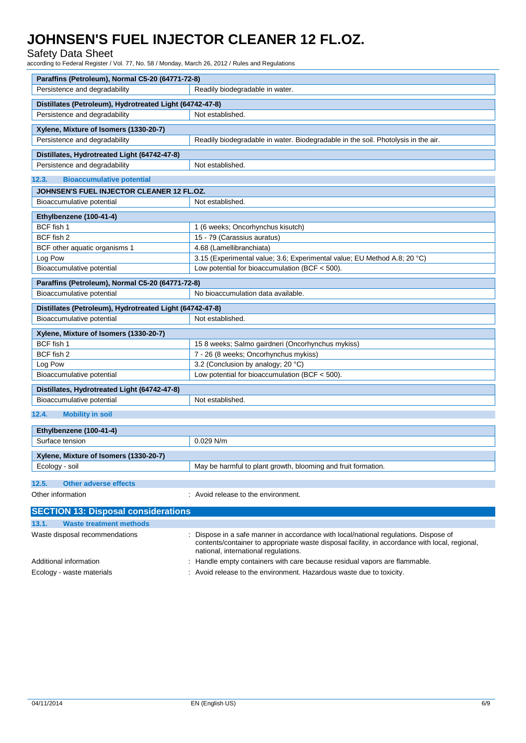## Safety Data Sheet

according to Federal Register / Vol. 77, No. 58 / Monday, March 26, 2012 / Rules and Regulations

| Paraffins (Petroleum), Normal C5-20 (64771-72-8)                              |                                                                                                                                                                                                                                |  |
|-------------------------------------------------------------------------------|--------------------------------------------------------------------------------------------------------------------------------------------------------------------------------------------------------------------------------|--|
| Persistence and degradability                                                 | Readily biodegradable in water.                                                                                                                                                                                                |  |
| Distillates (Petroleum), Hydrotreated Light (64742-47-8)                      |                                                                                                                                                                                                                                |  |
| Persistence and degradability                                                 | Not established.                                                                                                                                                                                                               |  |
| Xylene, Mixture of Isomers (1330-20-7)                                        |                                                                                                                                                                                                                                |  |
| Persistence and degradability                                                 | Readily biodegradable in water. Biodegradable in the soil. Photolysis in the air.                                                                                                                                              |  |
|                                                                               |                                                                                                                                                                                                                                |  |
| Distillates, Hydrotreated Light (64742-47-8)<br>Persistence and degradability | Not established.                                                                                                                                                                                                               |  |
|                                                                               |                                                                                                                                                                                                                                |  |
| <b>Bioaccumulative potential</b><br>12.3.                                     |                                                                                                                                                                                                                                |  |
| JOHNSEN'S FUEL INJECTOR CLEANER 12 FL.OZ.                                     |                                                                                                                                                                                                                                |  |
| Bioaccumulative potential                                                     | Not established.                                                                                                                                                                                                               |  |
| Ethylbenzene (100-41-4)                                                       |                                                                                                                                                                                                                                |  |
| BCF fish 1                                                                    | 1 (6 weeks; Oncorhynchus kisutch)                                                                                                                                                                                              |  |
| BCF fish 2                                                                    | 15 - 79 (Carassius auratus)                                                                                                                                                                                                    |  |
| BCF other aquatic organisms 1                                                 | 4.68 (Lamellibranchiata)                                                                                                                                                                                                       |  |
| Log Pow                                                                       | 3.15 (Experimental value; 3.6; Experimental value; EU Method A.8; 20 °C)                                                                                                                                                       |  |
| Bioaccumulative potential                                                     | Low potential for bioaccumulation (BCF < 500).                                                                                                                                                                                 |  |
| Paraffins (Petroleum), Normal C5-20 (64771-72-8)                              |                                                                                                                                                                                                                                |  |
| Bioaccumulative potential                                                     | No bioaccumulation data available.                                                                                                                                                                                             |  |
| Distillates (Petroleum), Hydrotreated Light (64742-47-8)                      |                                                                                                                                                                                                                                |  |
| Bioaccumulative potential                                                     | Not established.                                                                                                                                                                                                               |  |
| Xylene, Mixture of Isomers (1330-20-7)                                        |                                                                                                                                                                                                                                |  |
| BCF fish 1                                                                    | 15 8 weeks; Salmo gairdneri (Oncorhynchus mykiss)                                                                                                                                                                              |  |
| BCF fish 2                                                                    | 7 - 26 (8 weeks; Oncorhynchus mykiss)                                                                                                                                                                                          |  |
| Log Pow                                                                       | 3.2 (Conclusion by analogy; 20 °C)                                                                                                                                                                                             |  |
| Bioaccumulative potential                                                     | Low potential for bioaccumulation (BCF $<$ 500).                                                                                                                                                                               |  |
| Distillates, Hydrotreated Light (64742-47-8)                                  |                                                                                                                                                                                                                                |  |
| Bioaccumulative potential                                                     | Not established.                                                                                                                                                                                                               |  |
| 12.4.<br><b>Mobility in soil</b>                                              |                                                                                                                                                                                                                                |  |
|                                                                               |                                                                                                                                                                                                                                |  |
| Ethylbenzene (100-41-4)                                                       |                                                                                                                                                                                                                                |  |
| Surface tension                                                               | $0.029$ N/m                                                                                                                                                                                                                    |  |
| Xylene, Mixture of Isomers (1330-20-7)                                        |                                                                                                                                                                                                                                |  |
| Ecology - soil                                                                | May be harmful to plant growth, blooming and fruit formation                                                                                                                                                                   |  |
| 12.5.<br><b>Other adverse effects</b>                                         |                                                                                                                                                                                                                                |  |
| Other information                                                             | Avoid release to the environment.                                                                                                                                                                                              |  |
|                                                                               |                                                                                                                                                                                                                                |  |
| <b>SECTION 13: Disposal considerations</b>                                    |                                                                                                                                                                                                                                |  |
| 13.1.<br><b>Waste treatment methods</b>                                       |                                                                                                                                                                                                                                |  |
| Waste disposal recommendations                                                | : Dispose in a safe manner in accordance with local/national regulations. Dispose of<br>contents/container to appropriate waste disposal facility, in accordance with local, regional,<br>national, international regulations. |  |
| Additional information                                                        | : Handle empty containers with care because residual vapors are flammable.                                                                                                                                                     |  |

Ecology - waste materials **intercal tensor of the environment.** Hazardous waste due to toxicity.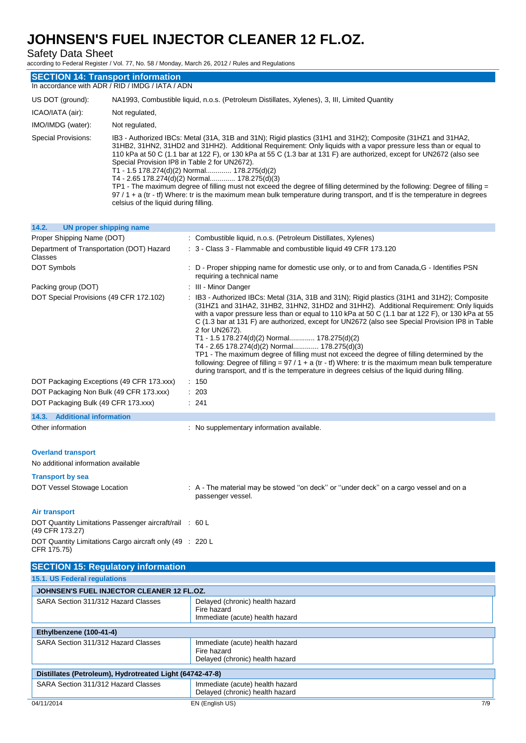Safety Data Sheet

according to Federal Register / Vol. 77, No. 58 / Monday, March 26, 2012 / Rules and Regulations

| <b>SECTION 14: Transport information</b><br>In accordance with ADR / RID / IMDG / IATA / ADN<br>US DOT (ground):<br>NA1993, Combustible liquid, n.o.s. (Petroleum Distillates, Xylenes), 3, III, Limited Quantity<br>ICAO/IATA (air):<br>Not regulated,                                                                                                                                                                                                                                                                                                                                                                                                                                                                                                                                                                                                          |  |  |
|------------------------------------------------------------------------------------------------------------------------------------------------------------------------------------------------------------------------------------------------------------------------------------------------------------------------------------------------------------------------------------------------------------------------------------------------------------------------------------------------------------------------------------------------------------------------------------------------------------------------------------------------------------------------------------------------------------------------------------------------------------------------------------------------------------------------------------------------------------------|--|--|
|                                                                                                                                                                                                                                                                                                                                                                                                                                                                                                                                                                                                                                                                                                                                                                                                                                                                  |  |  |
|                                                                                                                                                                                                                                                                                                                                                                                                                                                                                                                                                                                                                                                                                                                                                                                                                                                                  |  |  |
|                                                                                                                                                                                                                                                                                                                                                                                                                                                                                                                                                                                                                                                                                                                                                                                                                                                                  |  |  |
| IMO/IMDG (water):<br>Not regulated,                                                                                                                                                                                                                                                                                                                                                                                                                                                                                                                                                                                                                                                                                                                                                                                                                              |  |  |
| Special Provisions:<br>IB3 - Authorized IBCs: Metal (31A, 31B and 31N); Rigid plastics (31H1 and 31H2); Composite (31HZ1 and 31HA2,<br>31HB2, 31HN2, 31HD2 and 31HH2). Additional Requirement: Only liquids with a vapor pressure less than or equal to<br>110 kPa at 50 C (1.1 bar at 122 F), or 130 kPa at 55 C (1.3 bar at 131 F) are authorized, except for UN2672 (also see<br>Special Provision IP8 in Table 2 for UN2672).<br>T1 - 1.5 178.274(d)(2) Normal 178.275(d)(2)<br>T4 - 2.65 178.274(d)(2) Normal 178.275(d)(3)<br>TP1 - The maximum degree of filling must not exceed the degree of filling determined by the following: Degree of filling =<br>97/1+a (tr - tf) Where: tr is the maximum mean bulk temperature during transport, and tf is the temperature in degrees<br>celsius of the liquid during filling.                                |  |  |
| 14.2.<br><b>UN proper shipping name</b>                                                                                                                                                                                                                                                                                                                                                                                                                                                                                                                                                                                                                                                                                                                                                                                                                          |  |  |
| Proper Shipping Name (DOT)<br>: Combustible liquid, n.o.s. (Petroleum Distillates, Xylenes)                                                                                                                                                                                                                                                                                                                                                                                                                                                                                                                                                                                                                                                                                                                                                                      |  |  |
| Department of Transportation (DOT) Hazard<br>: 3 - Class 3 - Flammable and combustible liquid 49 CFR 173.120<br>Classes                                                                                                                                                                                                                                                                                                                                                                                                                                                                                                                                                                                                                                                                                                                                          |  |  |
| DOT Symbols<br>: D - Proper shipping name for domestic use only, or to and from Canada, G - Identifies PSN<br>requiring a technical name                                                                                                                                                                                                                                                                                                                                                                                                                                                                                                                                                                                                                                                                                                                         |  |  |
| Packing group (DOT)<br>: III - Minor Danger                                                                                                                                                                                                                                                                                                                                                                                                                                                                                                                                                                                                                                                                                                                                                                                                                      |  |  |
| DOT Special Provisions (49 CFR 172.102)<br>: IB3 - Authorized IBCs: Metal (31A, 31B and 31N); Rigid plastics (31H1 and 31H2); Composite<br>(31HZ1 and 31HA2, 31HB2, 31HN2, 31HD2 and 31HH2). Additional Requirement: Only liquids<br>with a vapor pressure less than or equal to 110 kPa at 50 C (1.1 bar at 122 F), or 130 kPa at 55<br>C (1.3 bar at 131 F) are authorized, except for UN2672 (also see Special Provision IP8 in Table<br>2 for UN2672).<br>T1 - 1.5 178.274(d)(2) Normal 178.275(d)(2)<br>T4 - 2.65 178.274(d)(2) Normal 178.275(d)(3)<br>TP1 - The maximum degree of filling must not exceed the degree of filling determined by the<br>following: Degree of filling = $97 / 1 + a$ (tr - tf) Where: tr is the maximum mean bulk temperature<br>during transport, and if is the temperature in degrees celsius of the liquid during filling. |  |  |
| DOT Packaging Exceptions (49 CFR 173.xxx)<br>: 150                                                                                                                                                                                                                                                                                                                                                                                                                                                                                                                                                                                                                                                                                                                                                                                                               |  |  |
| DOT Packaging Non Bulk (49 CFR 173.xxx)<br>203                                                                                                                                                                                                                                                                                                                                                                                                                                                                                                                                                                                                                                                                                                                                                                                                                   |  |  |
| DOT Packaging Bulk (49 CFR 173.xxx)<br>: 241                                                                                                                                                                                                                                                                                                                                                                                                                                                                                                                                                                                                                                                                                                                                                                                                                     |  |  |
| 14.3. Additional information                                                                                                                                                                                                                                                                                                                                                                                                                                                                                                                                                                                                                                                                                                                                                                                                                                     |  |  |
| Other information<br>: No supplementary information available.                                                                                                                                                                                                                                                                                                                                                                                                                                                                                                                                                                                                                                                                                                                                                                                                   |  |  |
| <b>Overland transport</b><br>No additional information available                                                                                                                                                                                                                                                                                                                                                                                                                                                                                                                                                                                                                                                                                                                                                                                                 |  |  |
| <b>Transport by sea</b>                                                                                                                                                                                                                                                                                                                                                                                                                                                                                                                                                                                                                                                                                                                                                                                                                                          |  |  |
| DOT Vessel Stowage Location<br>: A - The material may be stowed "on deck" or "under deck" on a cargo vessel and on a<br>passenger vessel.                                                                                                                                                                                                                                                                                                                                                                                                                                                                                                                                                                                                                                                                                                                        |  |  |
| <b>Air transport</b>                                                                                                                                                                                                                                                                                                                                                                                                                                                                                                                                                                                                                                                                                                                                                                                                                                             |  |  |
| DOT Quantity Limitations Passenger aircraft/rail : 60 L<br>(49 CFR 173.27)                                                                                                                                                                                                                                                                                                                                                                                                                                                                                                                                                                                                                                                                                                                                                                                       |  |  |
| DOT Quantity Limitations Cargo aircraft only (49 : 220 L<br>CFR 175.75)                                                                                                                                                                                                                                                                                                                                                                                                                                                                                                                                                                                                                                                                                                                                                                                          |  |  |
| <b>SECTION 15: Regulatory information</b>                                                                                                                                                                                                                                                                                                                                                                                                                                                                                                                                                                                                                                                                                                                                                                                                                        |  |  |
| 15.1. US Federal regulations                                                                                                                                                                                                                                                                                                                                                                                                                                                                                                                                                                                                                                                                                                                                                                                                                                     |  |  |
| JOHNSEN'S FUEL INJECTOR CLEANER 12 FL.OZ.                                                                                                                                                                                                                                                                                                                                                                                                                                                                                                                                                                                                                                                                                                                                                                                                                        |  |  |
| Delayed (chronic) health hazard<br>SARA Section 311/312 Hazard Classes<br>Fire hazard<br>Immediate (acute) health hazard                                                                                                                                                                                                                                                                                                                                                                                                                                                                                                                                                                                                                                                                                                                                         |  |  |
| Ethylbenzene (100-41-4)                                                                                                                                                                                                                                                                                                                                                                                                                                                                                                                                                                                                                                                                                                                                                                                                                                          |  |  |
| SARA Section 311/312 Hazard Classes<br>Immediate (acute) health hazard                                                                                                                                                                                                                                                                                                                                                                                                                                                                                                                                                                                                                                                                                                                                                                                           |  |  |

|                                                          | Delayed (chronic) health hazard                                    |     |
|----------------------------------------------------------|--------------------------------------------------------------------|-----|
| Distillates (Petroleum), Hydrotreated Light (64742-47-8) |                                                                    |     |
| SARA Section 311/312 Hazard Classes                      | Immediate (acute) health hazard<br>Delayed (chronic) health hazard |     |
| 04/11/2014                                               | EN (English US)                                                    | 7/9 |

Fire hazard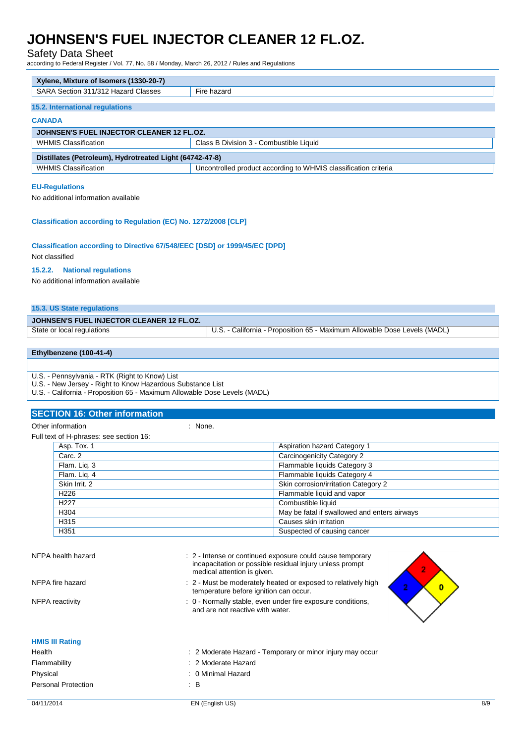## Safety Data Sheet

according to Federal Register / Vol. 77, No. 58 / Monday, March 26, 2012 / Rules and Regulations

| Xylene, Mixture of Isomers (1330-20-7)                   |                                                                 |  |
|----------------------------------------------------------|-----------------------------------------------------------------|--|
| SARA Section 311/312 Hazard Classes                      | Fire hazard                                                     |  |
| 15.2. International regulations                          |                                                                 |  |
| <b>CANADA</b>                                            |                                                                 |  |
| JOHNSEN'S FUEL INJECTOR CLEANER 12 FL.OZ.                |                                                                 |  |
| <b>WHMIS Classification</b>                              | Class B Division 3 - Combustible Liquid                         |  |
| Distillates (Petroleum), Hydrotreated Light (64742-47-8) |                                                                 |  |
| <b>WHMIS Classification</b>                              | Uncontrolled product according to WHMIS classification criteria |  |

#### **EU-Regulations**

No additional information available

### **Classification according to Regulation (EC) No. 1272/2008 [CLP]**

## **Classification according to Directive 67/548/EEC [DSD] or 1999/45/EC [DPD]**

Not classified

#### **15.2.2. National regulations**

No additional information available

### **15.3. US State regulations**

| JOHNSEN'S FUEL INJECTOR CLEANER 12 FL.OZ. |                                                                           |
|-------------------------------------------|---------------------------------------------------------------------------|
| State or local regulations                | U.S. - California - Proposition 65 - Maximum Allowable Dose Levels (MADL) |
|                                           |                                                                           |

### **Ethylbenzene (100-41-4)**

U.S. - Pennsylvania - RTK (Right to Know) List

U.S. - New Jersey - Right to Know Hazardous Substance List

U.S. - California - Proposition 65 - Maximum Allowable Dose Levels (MADL)

### **SECTION 16: Other information**

Other information : None.

Full text of H-phrases: see section 16:

| Asp. Tox. 1      | <b>Aspiration hazard Category 1</b>          |
|------------------|----------------------------------------------|
| Carc. 2          | <b>Carcinogenicity Category 2</b>            |
| Flam. Lig. 3     | Flammable liquids Category 3                 |
| Flam. Lig. 4     | Flammable liquids Category 4                 |
| Skin Irrit, 2    | Skin corrosion/irritation Category 2         |
| H <sub>226</sub> | Flammable liquid and vapor                   |
| H <sub>227</sub> | Combustible liquid                           |
| H304             | May be fatal if swallowed and enters airways |
| H315             | Causes skin irritation                       |
| H351             | Suspected of causing cancer                  |

| NFPA health hazard         | : 2 - Intense or continued exposure could cause temporary<br>incapacitation or possible residual injury unless prompt<br>medical attention is given. |
|----------------------------|------------------------------------------------------------------------------------------------------------------------------------------------------|
| NFPA fire hazard           | : 2 - Must be moderately heated or exposed to relatively high<br>temperature before ignition can occur.                                              |
| <b>NFPA</b> reactivity     | : 0 - Normally stable, even under fire exposure conditions,<br>and are not reactive with water.                                                      |
| <b>HMIS III Rating</b>     |                                                                                                                                                      |
| Health                     | : 2 Moderate Hazard - Temporary or minor injury may occur                                                                                            |
| Flammability               | : 2 Moderate Hazard                                                                                                                                  |
| Physical                   | 0 Minimal Hazard                                                                                                                                     |
| <b>Personal Protection</b> | $\therefore$ B                                                                                                                                       |